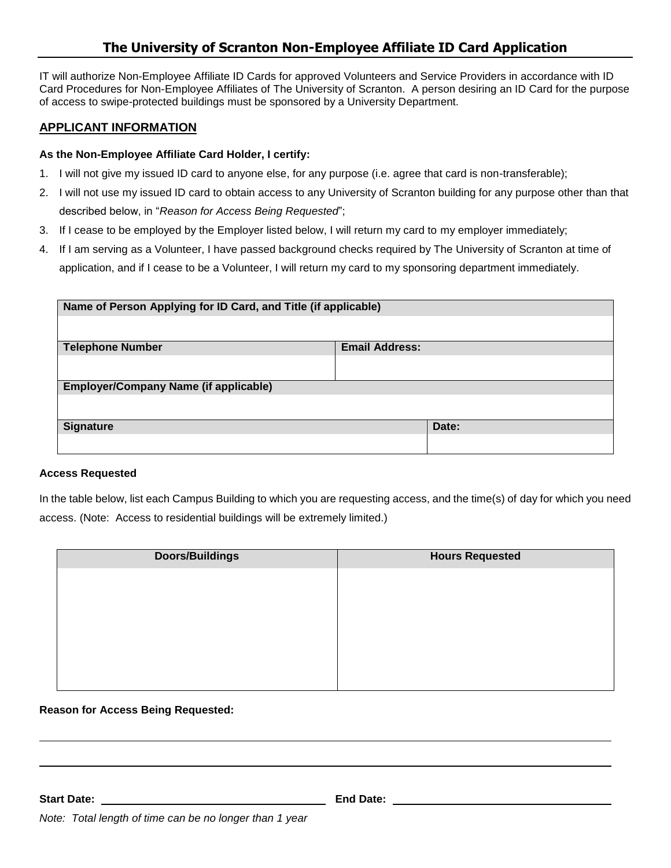# **The University of Scranton Non-Employee Affiliate ID Card Application**

IT will authorize Non-Employee Affiliate ID Cards for approved Volunteers and Service Providers in accordance with ID Card Procedures for Non-Employee Affiliates of The University of Scranton. A person desiring an ID Card for the purpose of access to swipe-protected buildings must be sponsored by a University Department.

### **APPLICANT INFORMATION**

### **As the Non-Employee Affiliate Card Holder, I certify:**

- 1. I will not give my issued ID card to anyone else, for any purpose (i.e. agree that card is non-transferable);
- 2. I will not use my issued ID card to obtain access to any University of Scranton building for any purpose other than that described below, in "*Reason for Access Being Requested*";
- 3. If I cease to be employed by the Employer listed below, I will return my card to my employer immediately;
- 4. If I am serving as a Volunteer, I have passed background checks required by The University of Scranton at time of application, and if I cease to be a Volunteer, I will return my card to my sponsoring department immediately.

| Name of Person Applying for ID Card, and Title (if applicable) |                       |       |  |
|----------------------------------------------------------------|-----------------------|-------|--|
| <b>Telephone Number</b>                                        | <b>Email Address:</b> |       |  |
|                                                                |                       |       |  |
| <b>Employer/Company Name (if applicable)</b>                   |                       |       |  |
|                                                                |                       |       |  |
| <b>Signature</b>                                               |                       | Date: |  |
|                                                                |                       |       |  |

#### **Access Requested**

In the table below, list each Campus Building to which you are requesting access, and the time(s) of day for which you need access. (Note: Access to residential buildings will be extremely limited.)

| Doors/Buildings | <b>Hours Requested</b> |
|-----------------|------------------------|
|                 |                        |
|                 |                        |
|                 |                        |
|                 |                        |
|                 |                        |
|                 |                        |

### **Reason for Access Being Requested:**

**Start Date: End Date:**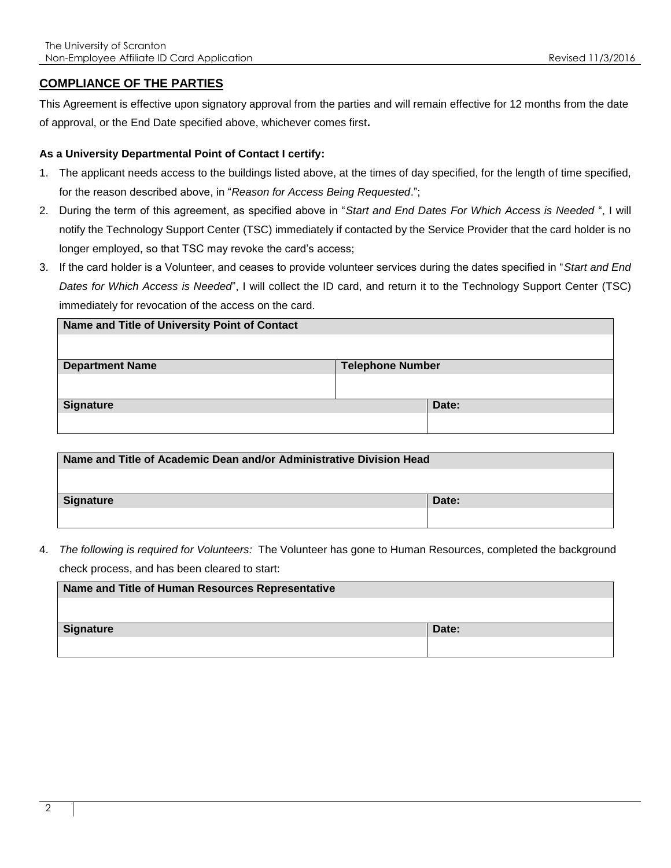### **COMPLIANCE OF THE PARTIES**

This Agreement is effective upon signatory approval from the parties and will remain effective for 12 months from the date of approval, or the End Date specified above, whichever comes first**.**

#### **As a University Departmental Point of Contact I certify:**

- 1. The applicant needs access to the buildings listed above, at the times of day specified, for the length of time specified, for the reason described above, in "*Reason for Access Being Requested*.";
- 2. During the term of this agreement, as specified above in "*Start and End Dates For Which Access is Needed* ", I will notify the Technology Support Center (TSC) immediately if contacted by the Service Provider that the card holder is no longer employed, so that TSC may revoke the card's access;
- 3. If the card holder is a Volunteer, and ceases to provide volunteer services during the dates specified in "*Start and End Dates for Which Access is Needed*", I will collect the ID card, and return it to the Technology Support Center (TSC) immediately for revocation of the access on the card.

| Name and Title of University Point of Contact |                         |  |
|-----------------------------------------------|-------------------------|--|
|                                               |                         |  |
| <b>Department Name</b>                        | <b>Telephone Number</b> |  |
|                                               |                         |  |
| <b>Signature</b>                              | Date:                   |  |
|                                               |                         |  |

| Name and Title of Academic Dean and/or Administrative Division Head |       |
|---------------------------------------------------------------------|-------|
|                                                                     |       |
| Signature                                                           | Date: |
|                                                                     |       |

4. *The following is required for Volunteers:* The Volunteer has gone to Human Resources, completed the background check process, and has been cleared to start:

| Name and Title of Human Resources Representative |       |
|--------------------------------------------------|-------|
|                                                  |       |
| Signature                                        | Date: |
|                                                  |       |